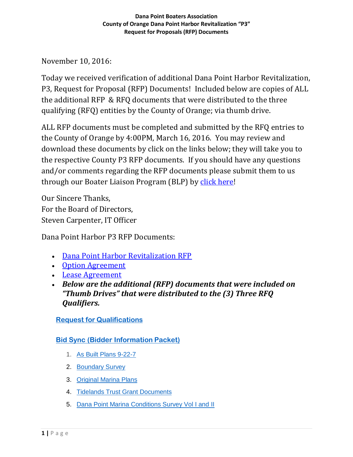November 10, 2016:

Today we received verification of additional Dana Point Harbor Revitalization, P3, Request for Proposal (RFP) Documents! Included below are copies of ALL the additional RFP & RFQ documents that were distributed to the three qualifying (RFQ) entities by the County of Orange; via thumb drive.

ALL RFP documents must be completed and submitted by the RFQ entries to the County of Orange by 4:00PM, March 16, 2016. You may review and download these documents by click on the links below; they will take you to the respective County P3 RFP documents. If you should have any questions and/or comments regarding the RFP documents please submit them to us through our Boater Liaison Program (BLP) by [click here!](http://form.jotformpro.com/form/51391929815969)

Our Sincere Thanks, For the Board of Directors, Steven Carpenter, IT Officer

Dana Point Harbor P3 RFP Documents:

- [Dana Point Harbor Revitalization RFP](http://danapointboaters.org/documents/county/p3/rfp/Dana%20Point%20Harbor%20Request%20for%20Proposals_Final.pdf)
- [Option Agreement](http://danapointboaters.org/documents/county/p3/rfp/Final%20Option%20Agreement%20(Dana%20Point%20Harbor).pdf)
- [Lease Agreement](http://danapointboaters.org/documents/county/p3/rfp/Final%20Form%20of%20DPH%20Ground%20Lease.pdf)
- *Below are the additional (RFP) documents that were included on "Thumb Drives" that were distributed to the (3) Three RFQ Qualifiers.*

## **Request for [Qualifications](http://danapointboaters.org/documents/county/p3/rfq%20amended%2003-28-16/Request_for_Qualifications_DPH.pdf)**

## **[Bid Sync \(Bidder Information](http://olb.ocgov.com/bids/) Packet)**

- 1. [As Built Plans](http://danapointboaters.org/documents/county/p3/rfq%20amended%2003-28-16/1%20-%20As%20Built%20Plans%209-22-70.pdf) 9-22-7
- 2. [Boundary](http://danapointboaters.org/documents/county/p3/rfq%20amended%2003-28-16/2%20-%20Boundary%20Survey.pdf) Survey
- 3. [Original Marina](http://danapointboaters.org/documents/county/p3/rfq%20amended%2003-28-16/3%20-%20Original%20Marina%20Plans.pdf) Plans
- 4. [Tidelands Trust Grant](http://danapointboaters.org/documents/county/p3/rfq%20amended%2003-28-16/4%20-%20Tidelands%20Trust%20Grant%20Documents.pdf) Documents
- 5. [Dana Point Marina Conditions Survey Vol I and](http://danapointboaters.org/documents/county/p3/rfq%20amended%2003-28-16/5%20-%20Dana%20Point%20Marina%20Conditions%20Survey%20Vol%20I%20and%20II.pdf) II